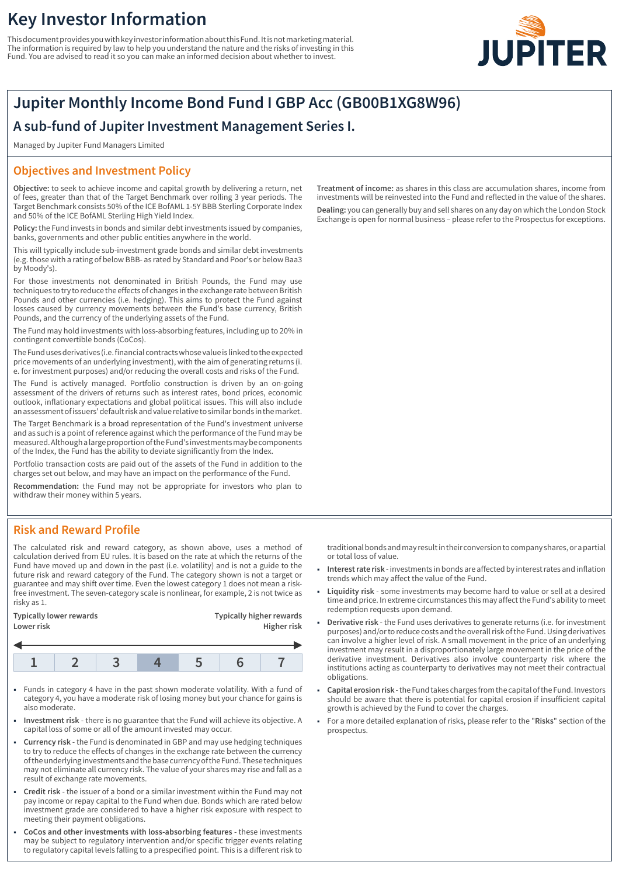# **Key Investor Information**

This document provides you with key investor information about this Fund. It is not marketing material. The information is required by law to help you understand the nature and the risks of investing in this Fund. You are advised to read it so you can make an informed decision about whether to invest.



## **Jupiter Monthly Income Bond Fund I GBP Acc (GB00B1XG8W96)**

## **A sub-fund of Jupiter Investment Management Series I.**

Managed by Jupiter Fund Managers Limited

### **Objectives and Investment Policy**

**Objective:** to seek to achieve income and capital growth by delivering a return, net of fees, greater than that of the Target Benchmark over rolling 3 year periods. The Target Benchmark consists 50% of the ICE BofAML 1-5Y BBB Sterling Corporate Index and 50% of the ICE BofAML Sterling High Yield Index.

**Policy:** the Fund invests in bonds and similar debt investments issued by companies, banks, governments and other public entities anywhere in the world.

This will typically include sub-investment grade bonds and similar debt investments (e.g. those with a rating of below BBB- as rated by Standard and Poor's or below Baa3 by Moody's).

For those investments not denominated in British Pounds, the Fund may use techniques to try to reduce the effects of changes in the exchange rate between British Pounds and other currencies (i.e. hedging). This aims to protect the Fund against losses caused by currency movements between the Fund's base currency, British Pounds, and the currency of the underlying assets of the Fund.

The Fund may hold investments with loss-absorbing features, including up to 20% in contingent convertible bonds (CoCos).

The Fund uses derivatives (i.e. financial contracts whose value is linked to the expected price movements of an underlying investment), with the aim of generating returns (i. e. for investment purposes) and/or reducing the overall costs and risks of the Fund.

The Fund is actively managed. Portfolio construction is driven by an on-going assessment of the drivers of returns such as interest rates, bond prices, economic outlook, inflationary expectations and global political issues. This will also include an assessment of issuers' default risk and value relative to similar bonds in the market.

The Target Benchmark is a broad representation of the Fund's investment universe and as such is a point of reference against which the performance of the Fund may be measured. Although a large proportion of the Fund's investments may be components of the Index, the Fund has the ability to deviate significantly from the Index.

Portfolio transaction costs are paid out of the assets of the Fund in addition to the charges set out below, and may have an impact on the performance of the Fund.

**Recommendation:** the Fund may not be appropriate for investors who plan to withdraw their money within 5 years.

### **Risk and Reward Profile**

The calculated risk and reward category, as shown above, uses a method of calculation derived from EU rules. It is based on the rate at which the returns of the Fund have moved up and down in the past (i.e. volatility) and is not a guide to the future risk and reward category of the Fund. The category shown is not a target or guarantee and may shift over time. Even the lowest category 1 does not mean a riskfree investment. The seven-category scale is nonlinear, for example, 2 is not twice as risky as 1.

| Lower risk              | Higher risk                     |  |  |
|-------------------------|---------------------------------|--|--|
| Typically lower rewards | <b>Typically higher rewards</b> |  |  |

- 1 Funds in category 4 have in the past shown moderate volatility. With a fund of category 4, you have a moderate risk of losing money but your chance for gains is also moderate.
- 1 **Investment risk** there is no guarantee that the Fund will achieve its objective. A capital loss of some or all of the amount invested may occur.
- 1 **Currency risk** the Fund is denominated in GBP and may use hedging techniques to try to reduce the effects of changes in the exchange rate between the currency of the underlying investments and the base currency of the Fund. These techniques may not eliminate all currency risk. The value of your shares may rise and fall as a result of exchange rate movements.
- 1 **Credit risk** the issuer of a bond or a similar investment within the Fund may not pay income or repay capital to the Fund when due. Bonds which are rated below investment grade are considered to have a higher risk exposure with respect to meeting their payment obligations.
- 1 **CoCos and other investments with loss-absorbing features** these investments may be subject to regulatory intervention and/or specific trigger events relating to regulatory capital levels falling to a prespecified point. This is a different risk to

**Treatment of income:** as shares in this class are accumulation shares, income from investments will be reinvested into the Fund and reflected in the value of the shares. **Dealing:** you can generally buy and sell shares on any day on which the London Stock Exchange is open for normal business – please refer to the Prospectus for exceptions.

traditional bonds and may result in their conversion to company shares, or a partial or total loss of value.

- 1 **Interest rate risk** investments in bonds are affected by interest rates and inflation trends which may affect the value of the Fund.
- 1 **Liquidity risk** some investments may become hard to value or sell at a desired time and price. In extreme circumstances this may affect the Fund's ability to meet redemption requests upon demand.
- 1 **Derivative risk** the Fund uses derivatives to generate returns (i.e. for investment purposes) and/or to reduce costs and the overall risk of the Fund. Using derivatives can involve a higher level of risk. A small movement in the price of an underlying investment may result in a disproportionately large movement in the price of the derivative investment. Derivatives also involve counterparty risk where the institutions acting as counterparty to derivatives may not meet their contractual obligations.
- 1 **Capital erosion risk** the Fund takes charges from the capital of the Fund. Investors should be aware that there is potential for capital erosion if insufficient capital growth is achieved by the Fund to cover the charges.
- 1 For a more detailed explanation of risks, please refer to the "**Risks**" section of the prospectus.